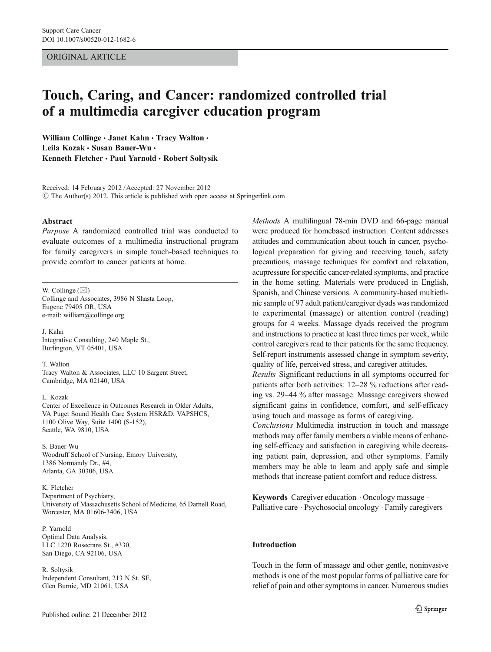# ORIGINAL ARTICLE

# Touch, Caring, and Cancer: randomized controlled trial of a multimedia caregiver education program

William Collinge · Janet Kahn · Tracy Walton · Leila Kozak · Susan Bauer-Wu · Kenneth Fletcher · Paul Yarnold · Robert Soltvsik

Received: 14 February 2012 /Accepted: 27 November 2012  $\odot$  The Author(s) 2012. This article is published with open access at Springerlink.com

### Abstract

Purpose A randomized controlled trial was conducted to evaluate outcomes of a multimedia instructional program for family caregivers in simple touch-based techniques to provide comfort to cancer patients at home.

W. Collinge  $(\boxtimes)$ Collinge and Associates, 3986 N Shasta Loop, Eugene 79405 OR, USA e-mail: william@collinge.org

J. Kahn Integrative Consulting, 240 Maple St., Burlington, VT 05401, USA

T. Walton Tracy Walton & Associates, LLC 10 Sargent Street, Cambridge, MA 02140, USA

### L. Kozak

Center of Excellence in Outcomes Research in Older Adults, VA Puget Sound Health Care System HSR&D, VAPSHCS, 1100 Olive Way, Suite 1400 (S-152), Seattle, WA 9810, USA

S. Bauer-Wu Woodruff School of Nursing, Emory University, 1386 Normandy Dr., #4, Atlanta, GA 30306, USA

K. Fletcher Department of Psychiatry, University of Massachusetts School of Medicine, 65 Darnell Road, Worcester, MA 01606-3406, USA

P. Yarnold Optimal Data Analysis, LLC 1220 Rosecrans St., #330, San Diego, CA 92106, USA

R. Soltysik Independent Consultant, 213 N St. SE, Glen Burnie, MD 21061, USA

Methods A multilingual 78-min DVD and 66-page manual were produced for homebased instruction. Content addresses attitudes and communication about touch in cancer, psychological preparation for giving and receiving touch, safety precautions, massage techniques for comfort and relaxation, acupressure for specific cancer-related symptoms, and practice in the home setting. Materials were produced in English, Spanish, and Chinese versions. A community-based multiethnic sample of 97 adult patient/caregiver dyads was randomized to experimental (massage) or attention control (reading) groups for 4 weeks. Massage dyads received the program and instructions to practice at least three times per week, while control caregivers read to their patients for the same frequency. Self-report instruments assessed change in symptom severity, quality of life, perceived stress, and caregiver attitudes.

Results Significant reductions in all symptoms occurred for patients after both activities: 12–28 % reductions after reading vs. 29–44 % after massage. Massage caregivers showed significant gains in confidence, comfort, and self-efficacy using touch and massage as forms of caregiving.

Conclusions Multimedia instruction in touch and massage methods may offer family members a viable means of enhancing self-efficacy and satisfaction in caregiving while decreasing patient pain, depression, and other symptoms. Family members may be able to learn and apply safe and simple methods that increase patient comfort and reduce distress.

Keywords Caregiver education  $\cdot$  Oncology massage  $\cdot$ Palliative care . Psychosocial oncology . Family caregivers

### Introduction

Touch in the form of massage and other gentle, noninvasive methods is one of the most popular forms of palliative care for relief of pain and other symptoms in cancer. Numerous studies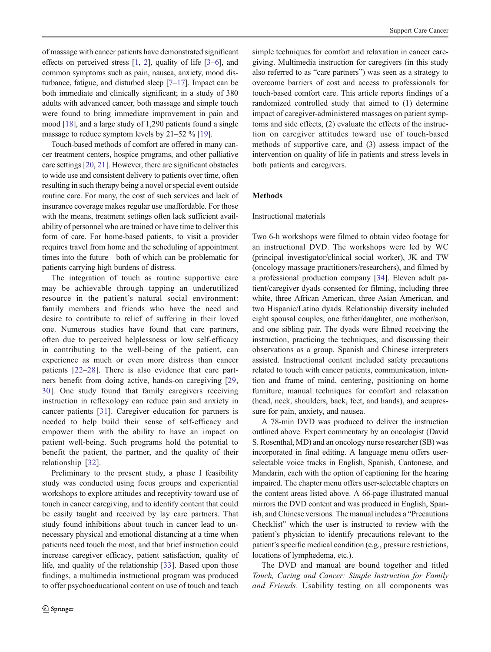of massage with cancer patients have demonstrated significant effects on perceived stress [1, 2], quality of life [3–6], and common symptoms such as pain, nausea, anxiety, mood disturbance, fatigue, and disturbed sleep [7–17]. Impact can be both immediate and clinically significant; in a study of 380 adults with advanced cancer, both massage and simple touch were found to bring immediate improvement in pain and mood [18], and a large study of 1,290 patients found a single massage to reduce symptom levels by 21–52 % [19].

Touch-based methods of comfort are offered in many cancer treatment centers, hospice programs, and other palliative care settings [20, 21]. However, there are significant obstacles to wide use and consistent delivery to patients over time, often resulting in such therapy being a novel or special event outside routine care. For many, the cost of such services and lack of insurance coverage makes regular use unaffordable. For those with the means, treatment settings often lack sufficient availability of personnel who are trained or have time to deliver this form of care. For home-based patients, to visit a provider requires travel from home and the scheduling of appointment times into the future—both of which can be problematic for patients carrying high burdens of distress.

The integration of touch as routine supportive care may be achievable through tapping an underutilized resource in the patient's natural social environment: family members and friends who have the need and desire to contribute to relief of suffering in their loved one. Numerous studies have found that care partners, often due to perceived helplessness or low self-efficacy in contributing to the well-being of the patient, can experience as much or even more distress than cancer patients [22–28]. There is also evidence that care partners benefit from doing active, hands-on caregiving [29, 30]. One study found that family caregivers receiving instruction in reflexology can reduce pain and anxiety in cancer patients [31]. Caregiver education for partners is needed to help build their sense of self-efficacy and empower them with the ability to have an impact on patient well-being. Such programs hold the potential to benefit the patient, the partner, and the quality of their relationship [32].

Preliminary to the present study, a phase I feasibility study was conducted using focus groups and experiential workshops to explore attitudes and receptivity toward use of touch in cancer caregiving, and to identify content that could be easily taught and received by lay care partners. That study found inhibitions about touch in cancer lead to unnecessary physical and emotional distancing at a time when patients need touch the most, and that brief instruction could increase caregiver efficacy, patient satisfaction, quality of life, and quality of the relationship [33]. Based upon those findings, a multimedia instructional program was produced to offer psychoeducational content on use of touch and teach

simple techniques for comfort and relaxation in cancer caregiving. Multimedia instruction for caregivers (in this study also referred to as "care partners") was seen as a strategy to overcome barriers of cost and access to professionals for touch-based comfort care. This article reports findings of a randomized controlled study that aimed to (1) determine impact of caregiver-administered massages on patient symptoms and side effects, (2) evaluate the effects of the instruction on caregiver attitudes toward use of touch-based methods of supportive care, and (3) assess impact of the intervention on quality of life in patients and stress levels in both patients and caregivers.

## Methods

### Instructional materials

Two 6-h workshops were filmed to obtain video footage for an instructional DVD. The workshops were led by WC (principal investigator/clinical social worker), JK and TW (oncology massage practitioners/researchers), and filmed by a professional production company [34]. Eleven adult patient/caregiver dyads consented for filming, including three white, three African American, three Asian American, and two Hispanic/Latino dyads. Relationship diversity included eight spousal couples, one father/daughter, one mother/son, and one sibling pair. The dyads were filmed receiving the instruction, practicing the techniques, and discussing their observations as a group. Spanish and Chinese interpreters assisted. Instructional content included safety precautions related to touch with cancer patients, communication, intention and frame of mind, centering, positioning on home furniture, manual techniques for comfort and relaxation (head, neck, shoulders, back, feet, and hands), and acupressure for pain, anxiety, and nausea.

A 78-min DVD was produced to deliver the instruction outlined above. Expert commentary by an oncologist (David S. Rosenthal, MD) and an oncology nurse researcher (SB) was incorporated in final editing. A language menu offers userselectable voice tracks in English, Spanish, Cantonese, and Mandarin, each with the option of captioning for the hearing impaired. The chapter menu offers user-selectable chapters on the content areas listed above. A 66-page illustrated manual mirrors the DVD content and was produced in English, Spanish, and Chinese versions. The manual includes a "Precautions Checklist" which the user is instructed to review with the patient's physician to identify precautions relevant to the patient's specific medical condition (e.g., pressure restrictions, locations of lymphedema, etc.).

The DVD and manual are bound together and titled Touch, Caring and Cancer: Simple Instruction for Family and Friends. Usability testing on all components was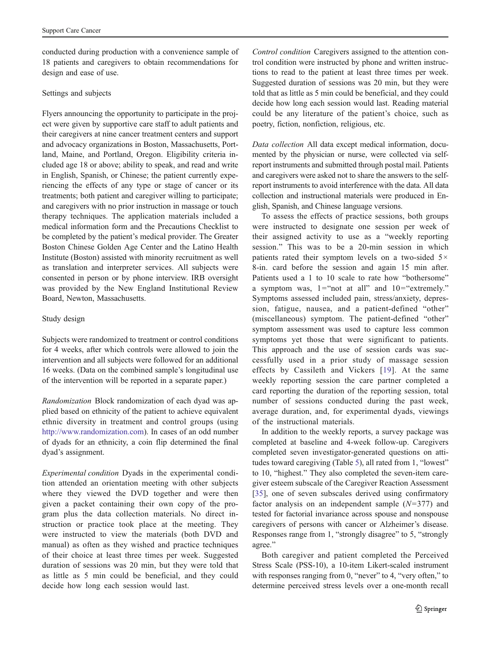conducted during production with a convenience sample of 18 patients and caregivers to obtain recommendations for design and ease of use.

# Settings and subjects

Flyers announcing the opportunity to participate in the project were given by supportive care staff to adult patients and their caregivers at nine cancer treatment centers and support and advocacy organizations in Boston, Massachusetts, Portland, Maine, and Portland, Oregon. Eligibility criteria included age 18 or above; ability to speak, and read and write in English, Spanish, or Chinese; the patient currently experiencing the effects of any type or stage of cancer or its treatments; both patient and caregiver willing to participate; and caregivers with no prior instruction in massage or touch therapy techniques. The application materials included a medical information form and the Precautions Checklist to be completed by the patient's medical provider. The Greater Boston Chinese Golden Age Center and the Latino Health Institute (Boston) assisted with minority recruitment as well as translation and interpreter services. All subjects were consented in person or by phone interview. IRB oversight was provided by the New England Institutional Review Board, Newton, Massachusetts.

# Study design

Subjects were randomized to treatment or control conditions for 4 weeks, after which controls were allowed to join the intervention and all subjects were followed for an additional 16 weeks. (Data on the combined sample's longitudinal use of the intervention will be reported in a separate paper.)

Randomization Block randomization of each dyad was applied based on ethnicity of the patient to achieve equivalent ethnic diversity in treatment and control groups (using http://www.randomization.com). In cases of an odd number of dyads for an ethnicity, a coin flip determined the final dyad's assignment.

Experimental condition Dyads in the experimental condition attended an orientation meeting with other subjects where they viewed the DVD together and were then given a packet containing their own copy of the program plus the data collection materials. No direct instruction or practice took place at the meeting. They were instructed to view the materials (both DVD and manual) as often as they wished and practice techniques of their choice at least three times per week. Suggested duration of sessions was 20 min, but they were told that as little as 5 min could be beneficial, and they could decide how long each session would last.

Control condition Caregivers assigned to the attention control condition were instructed by phone and written instructions to read to the patient at least three times per week. Suggested duration of sessions was 20 min, but they were told that as little as 5 min could be beneficial, and they could decide how long each session would last. Reading material could be any literature of the patient's choice, such as poetry, fiction, nonfiction, religious, etc.

Data collection All data except medical information, documented by the physician or nurse, were collected via selfreport instruments and submitted through postal mail. Patients and caregivers were asked not to share the answers to the selfreport instruments to avoid interference with the data. All data collection and instructional materials were produced in English, Spanish, and Chinese language versions.

To assess the effects of practice sessions, both groups were instructed to designate one session per week of their assigned activity to use as a "weekly reporting session." This was to be a 20-min session in which patients rated their symptom levels on a two-sided  $5\times$ 8-in. card before the session and again 15 min after. Patients used a 1 to 10 scale to rate how "bothersome" a symptom was,  $1 =$ "not at all" and  $10 =$ "extremely." Symptoms assessed included pain, stress/anxiety, depression, fatigue, nausea, and a patient-defined "other" (miscellaneous) symptom. The patient-defined "other" symptom assessment was used to capture less common symptoms yet those that were significant to patients. This approach and the use of session cards was successfully used in a prior study of massage session effects by Cassileth and Vickers [19]. At the same weekly reporting session the care partner completed a card reporting the duration of the reporting session, total number of sessions conducted during the past week, average duration, and, for experimental dyads, viewings of the instructional materials.

In addition to the weekly reports, a survey package was completed at baseline and 4-week follow-up. Caregivers completed seven investigator-generated questions on attitudes toward caregiving (Table 5), all rated from 1, "lowest" to 10, "highest." They also completed the seven-item caregiver esteem subscale of the Caregiver Reaction Assessment [35], one of seven subscales derived using confirmatory factor analysis on an independent sample  $(N=377)$  and tested for factorial invariance across spouse and nonspouse caregivers of persons with cancer or Alzheimer's disease. Responses range from 1, "strongly disagree" to 5, "strongly agree."

Both caregiver and patient completed the Perceived Stress Scale (PSS-10), a 10-item Likert-scaled instrument with responses ranging from 0, "never" to 4, "very often," to determine perceived stress levels over a one-month recall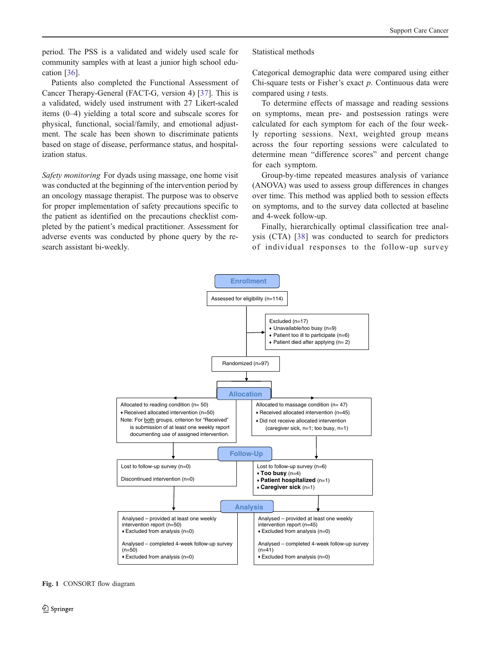period. The PSS is a validated and widely used scale for community samples with at least a junior high school education [36].

Patients also completed the Functional Assessment of Cancer Therapy-General (FACT-G, version 4) [37]. This is a validated, widely used instrument with 27 Likert-scaled items (0–4) yielding a total score and subscale scores for physical, functional, social/family, and emotional adjustment. The scale has been shown to discriminate patients based on stage of disease, performance status, and hospitalization status.

Safety monitoring For dyads using massage, one home visit was conducted at the beginning of the intervention period by an oncology massage therapist. The purpose was to observe for proper implementation of safety precautions specific to the patient as identified on the precautions checklist completed by the patient's medical practitioner. Assessment for adverse events was conducted by phone query by the research assistant bi-weekly.

Statistical methods

Categorical demographic data were compared using either Chi-square tests or Fisher's exact p. Continuous data were compared using  $t$  tests.

To determine effects of massage and reading sessions on symptoms, mean pre- and postsession ratings were calculated for each symptom for each of the four weekly reporting sessions. Next, weighted group means across the four reporting sessions were calculated to determine mean "difference scores" and percent change for each symptom.

Group-by-time repeated measures analysis of variance (ANOVA) was used to assess group differences in changes over time. This method was applied both to session effects on symptoms, and to the survey data collected at baseline and 4-week follow-up.

Finally, hierarchically optimal classification tree analysis (CTA) [38] was conducted to search for predictors of individual responses to the follow-up survey



Fig. 1 CONSORT flow diagram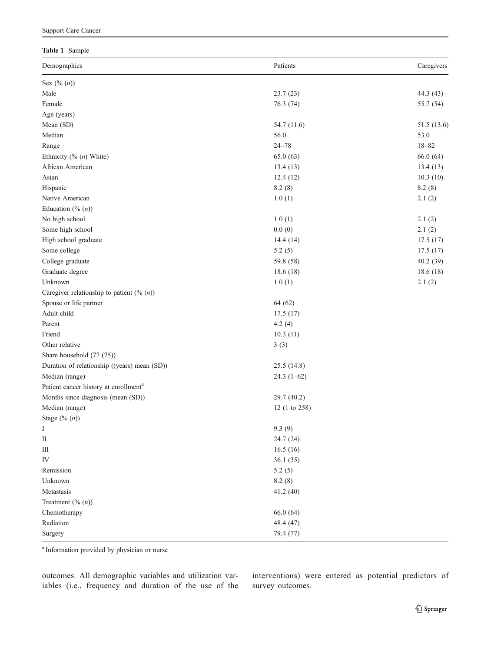| Support Care Cancer |  |  |
|---------------------|--|--|
|---------------------|--|--|

# Table 1 Sample

| Demographics                                      | Patients      | Caregivers  |
|---------------------------------------------------|---------------|-------------|
| Sex $(\% (n))$                                    |               |             |
| Male                                              | 23.7(23)      | 44.3 (43)   |
| Female                                            | 76.3 (74)     | 55.7 (54)   |
| Age (years)                                       |               |             |
| Mean (SD)                                         | 54.7 (11.6)   | 51.5 (13.6) |
| Median                                            | 56.0          | 53.0        |
| Range                                             | $24 - 78$     | $18 - 82$   |
| Ethnicity (% $(n)$ White)                         | 65.0(63)      | 66.0 (64)   |
| African American                                  | 13.4(13)      | 13.4(13)    |
| Asian                                             | 12.4(12)      | 10.3(10)    |
| Hispanic                                          | 8.2(8)        | 8.2(8)      |
| Native American                                   | 1.0(1)        | 2.1(2)      |
| Education $(\% (n))$                              |               |             |
| No high school                                    | 1.0(1)        | 2.1(2)      |
| Some high school                                  | 0.0(0)        | 2.1(2)      |
| High school graduate                              | 14.4(14)      | 17.5(17)    |
| Some college                                      | 5.2(5)        | 17.5(17)    |
| College graduate                                  | 59.8 (58)     | 40.2 (39)   |
| Graduate degree                                   | 18.6(18)      | 18.6(18)    |
| Unknown                                           | 1.0(1)        | 2.1(2)      |
| Caregiver relationship to patient $(\% (n))$      |               |             |
| Spouse or life partner                            | 64 (62)       |             |
| Adult child                                       | 17.5(17)      |             |
| Parent                                            | 4.2(4)        |             |
| Friend                                            | 10.3(11)      |             |
| Other relative                                    | 3(3)          |             |
| Share household (77 (75))                         |               |             |
| Duration of relationship ((years) mean (SD))      | 25.5 (14.8)   |             |
| Median (range)                                    | $24.3(1-62)$  |             |
| Patient cancer history at enrollment <sup>a</sup> |               |             |
| Months since diagnosis (mean (SD))                | 29.7 (40.2)   |             |
| Median (range)                                    | 12 (1 to 258) |             |
| Stage $(\% (n))$                                  |               |             |
| Ι                                                 | 9.3(9)        |             |
| $\rm II$                                          | 24.7 (24)     |             |
| Ш                                                 | 16.5(16)      |             |
| IV                                                | 36.1(35)      |             |
| Remission                                         | 5.2(5)        |             |
| Unknown                                           | 8.2(8)        |             |
| Metastasis                                        | 41.2 (40)     |             |
| Treatment $(\% (n))$                              |               |             |
| Chemotherapy                                      | 66.0(64)      |             |
| Radiation                                         | 48.4 (47)     |             |
| Surgery                                           | 79.4 (77)     |             |
|                                                   |               |             |

<sup>a</sup> Information provided by physician or nurse

outcomes. All demographic variables and utilization variables (i.e., frequency and duration of the use of the interventions) were entered as potential predictors of survey outcomes.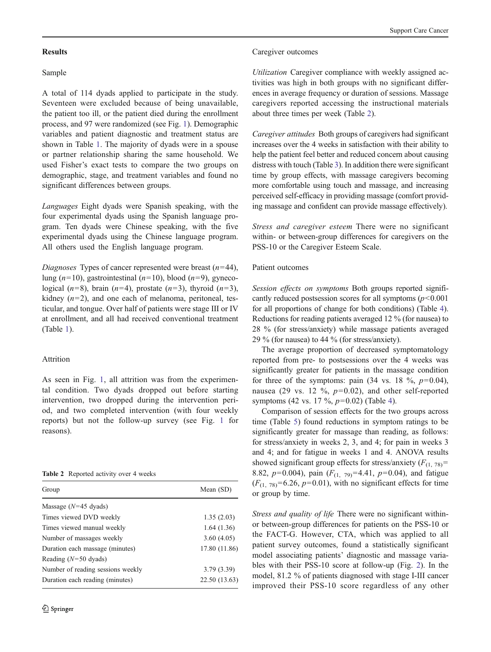### **Results**

# Sample

A total of 114 dyads applied to participate in the study. Seventeen were excluded because of being unavailable, the patient too ill, or the patient died during the enrollment process, and 97 were randomized (see Fig. 1). Demographic variables and patient diagnostic and treatment status are shown in Table 1. The majority of dyads were in a spouse or partner relationship sharing the same household. We used Fisher's exact tests to compare the two groups on demographic, stage, and treatment variables and found no significant differences between groups.

Languages Eight dyads were Spanish speaking, with the four experimental dyads using the Spanish language program. Ten dyads were Chinese speaking, with the five experimental dyads using the Chinese language program. All others used the English language program.

Diagnoses Types of cancer represented were breast  $(n=44)$ , lung ( $n=10$ ), gastrointestinal ( $n=10$ ), blood ( $n=9$ ), gynecological (n=8), brain (n=4), prostate (n=3), thyroid (n=3), kidney  $(n=2)$ , and one each of melanoma, peritoneal, testicular, and tongue. Over half of patients were stage III or IV at enrollment, and all had received conventional treatment (Table 1).

# Attrition

As seen in Fig. 1, all attrition was from the experimental condition. Two dyads dropped out before starting intervention, two dropped during the intervention period, and two completed intervention (with four weekly reports) but not the follow-up survey (see Fig. 1 for reasons).

|  | Table 2 Reported activity over 4 weeks |  |  |  |  |
|--|----------------------------------------|--|--|--|--|
|--|----------------------------------------|--|--|--|--|

| Group                             | Mean (SD)     |
|-----------------------------------|---------------|
| Massage $(N=45 \text{ dyads})$    |               |
| Times viewed DVD weekly           | 1.35(2.03)    |
| Times viewed manual weekly        | 1.64(1.36)    |
| Number of massages weekly         | 3.60(4.05)    |
| Duration each massage (minutes)   | 17.80 (11.86) |
| Reading $(N=50 \text{ dyads})$    |               |
| Number of reading sessions weekly | 3.79(3.39)    |
| Duration each reading (minutes)   | 22.50 (13.63) |
|                                   |               |

#### Caregiver outcomes

Utilization Caregiver compliance with weekly assigned activities was high in both groups with no significant differences in average frequency or duration of sessions. Massage caregivers reported accessing the instructional materials about three times per week (Table 2).

Caregiver attitudes Both groups of caregivers had significant increases over the 4 weeks in satisfaction with their ability to help the patient feel better and reduced concern about causing distress with touch (Table 3). In addition there were significant time by group effects, with massage caregivers becoming more comfortable using touch and massage, and increasing perceived self-efficacy in providing massage (comfort providing massage and confident can provide massage effectively).

Stress and caregiver esteem There were no significant within- or between-group differences for caregivers on the PSS-10 or the Caregiver Esteem Scale.

### Patient outcomes

Session effects on symptoms Both groups reported significantly reduced postsession scores for all symptoms  $(p<0.001)$ for all proportions of change for both conditions) (Table 4). Reductions for reading patients averaged 12 % (for nausea) to 28 % (for stress/anxiety) while massage patients averaged 29 % (for nausea) to 44 % (for stress/anxiety).

The average proportion of decreased symptomatology reported from pre- to postsessions over the 4 weeks was significantly greater for patients in the massage condition for three of the symptoms: pain (34 vs. 18 %,  $p=0.04$ ), nausea (29 vs. 12 %,  $p=0.02$ ), and other self-reported symptoms (42 vs. 17 %,  $p=0.02$ ) (Table 4).

Comparison of session effects for the two groups across time (Table 5) found reductions in symptom ratings to be significantly greater for massage than reading, as follows: for stress/anxiety in weeks 2, 3, and 4; for pain in weeks 3 and 4; and for fatigue in weeks 1 and 4. ANOVA results showed significant group effects for stress/anxiety  $(F_{(1, 78)})$ = 8.82,  $p=0.004$ ), pain  $(F_{(1, 79)}=4.41, p=0.04)$ , and fatigue  $(F_{(1, 78)}=6.26, p=0.01)$ , with no significant effects for time or group by time.

Stress and quality of life There were no significant withinor between-group differences for patients on the PSS-10 or the FACT-G. However, CTA, which was applied to all patient survey outcomes, found a statistically significant model associating patients' diagnostic and massage variables with their PSS-10 score at follow-up (Fig. 2). In the model, 81.2 % of patients diagnosed with stage I-III cancer improved their PSS-10 score regardless of any other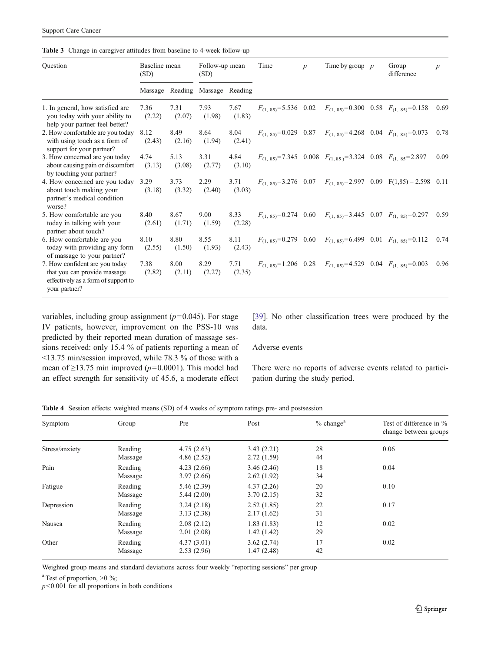|  | Table 3 Change in caregiver attitudes from baseline to 4-week follow-up |  |  |  |  |  |  |  |
|--|-------------------------------------------------------------------------|--|--|--|--|--|--|--|
|--|-------------------------------------------------------------------------|--|--|--|--|--|--|--|

| Ouestion                                                                                                               | Baseline mean<br>(SD) |                | Follow-up mean<br>(SD)          |                | Time                       | $\boldsymbol{p}$ | Time by group $p$                                                            | Group<br>difference                                                           | $\boldsymbol{p}$ |
|------------------------------------------------------------------------------------------------------------------------|-----------------------|----------------|---------------------------------|----------------|----------------------------|------------------|------------------------------------------------------------------------------|-------------------------------------------------------------------------------|------------------|
|                                                                                                                        |                       |                | Massage Reading Massage Reading |                |                            |                  |                                                                              |                                                                               |                  |
| 1. In general, how satisfied are<br>you today with your ability to<br>help your partner feel better?                   | 7.36<br>(2.22)        | 7.31<br>(2.07) | 7.93<br>(1.98)                  | 7.67<br>(1.83) | $F_{(1, 85)} = 5.536$ 0.02 |                  |                                                                              | $F_{(1, 85)} = 0.300 \quad 0.58 \quad F_{(1, 85)} = 0.158$                    | 0.69             |
| 2. How comfortable are you today<br>with using touch as a form of<br>support for your partner?                         | 8.12<br>(2.43)        | 8.49<br>(2.16) | 8.64<br>(1.94)                  | 8.04<br>(2.41) | $F_{(1, 85)} = 0.029$ 0.87 |                  | $F_{(1, 85)} = 4.268$ 0.04 $F_{(1, 85)} = 0.073$                             |                                                                               | 0.78             |
| 3. How concerned are you today<br>about causing pain or discomfort<br>by touching your partner?                        | 4.74<br>(3.13)        | 5.13<br>(3.08) | 3.31<br>(2.77)                  | 4.84<br>(3.10) |                            |                  | $F_{(1, 85)} = 7.345$ 0.008 $F_{(1, 85)} = 3.324$ 0.08 $F_{(1, 85)} = 2.897$ |                                                                               | 0.09             |
| 4. How concerned are you today<br>about touch making your<br>partner's medical condition<br>worse?                     | 3.29<br>(3.18)        | 3.73<br>(3.32) | 2.29<br>(2.40)                  | 3.71<br>(3.03) |                            |                  |                                                                              | $F_{(1, 85)} = 3.276$ 0.07 $F_{(1, 85)} = 2.997$ 0.09 $F(1, 85) = 2.598$ 0.11 |                  |
| 5. How comfortable are you<br>today in talking with your<br>partner about touch?                                       | 8.40<br>(2.61)        | 8.67<br>(1.71) | 9.00<br>(1.59)                  | 8.33<br>(2.28) |                            |                  | $F_{(1, 85)} = 0.274$ 0.60 $F_{(1, 85)} = 3.445$ 0.07 $F_{(1, 85)} = 0.297$  |                                                                               | 0.59             |
| 6. How comfortable are you<br>today with providing any form<br>of massage to your partner?                             | 8.10<br>(2.55)        | 8.80<br>(1.50) | 8.55<br>(1.93)                  | 8.11<br>(2.43) |                            |                  | $F_{(1, 85)} = 0.279$ 0.60 $F_{(1, 85)} = 6.499$ 0.01 $F_{(1, 85)} = 0.112$  |                                                                               | 0.74             |
| 7. How confident are you today<br>that you can provide massage<br>effectively as a form of support to<br>your partner? | 7.38<br>(2.82)        | 8.00<br>(2.11) | 8.29<br>(2.27)                  | 7.71<br>(2.35) |                            |                  | $F_{(1, 85)} = 1.206$ 0.28 $F_{(1, 85)} = 4.529$ 0.04 $F_{(1, 85)} = 0.003$  |                                                                               | 0.96             |

variables, including group assignment ( $p=0.045$ ). For stage IV patients, however, improvement on the PSS-10 was predicted by their reported mean duration of massage sessions received: only 15.4 % of patients reporting a mean of <13.75 min/session improved, while 78.3 % of those with a mean of  $\geq$ 13.75 min improved (p=0.0001). This model had an effect strength for sensitivity of 45.6, a moderate effect [39]. No other classification trees were produced by the data.

### Adverse events

There were no reports of adverse events related to participation during the study period.

|  |  |  |  | Table 4 Session effects: weighted means (SD) of 4 weeks of symptom ratings pre- and postsession |  |  |
|--|--|--|--|-------------------------------------------------------------------------------------------------|--|--|
|--|--|--|--|-------------------------------------------------------------------------------------------------|--|--|

| Symptom        | Group              | Pre                      | Post                     | $%$ change <sup>a</sup> | Test of difference in %<br>change between groups |
|----------------|--------------------|--------------------------|--------------------------|-------------------------|--------------------------------------------------|
| Stress/anxiety | Reading<br>Massage | 4.75(2.63)<br>4.86(2.52) | 3.43(2.21)<br>2.72(1.59) | 28<br>44                | 0.06                                             |
| Pain           | Reading<br>Massage | 4.23(2.66)<br>3.97(2.66) | 3.46(2.46)<br>2.62(1.92) | 18<br>34                | 0.04                                             |
| Fatigue        | Reading<br>Massage | 5.46(2.39)<br>5.44(2.00) | 4.37(2.26)<br>3.70(2.15) | 20<br>32                | 0.10                                             |
| Depression     | Reading<br>Massage | 3.24(2.18)<br>3.13(2.38) | 2.52(1.85)<br>2.17(1.62) | 22<br>31                | 0.17                                             |
| Nausea         | Reading<br>Massage | 2.08(2.12)<br>2.01(2.08) | 1.83(1.83)<br>1.42(1.42) | 12<br>29                | 0.02                                             |
| Other          | Reading<br>Massage | 4.37(3.01)<br>2.53(2.96) | 3.62(2.74)<br>1.47(2.48) | 17<br>42                | 0.02                                             |

Weighted group means and standard deviations across four weekly "reporting sessions" per group

<sup>a</sup> Test of proportion,  $>0$  %;

 $p<0.001$  for all proportions in both conditions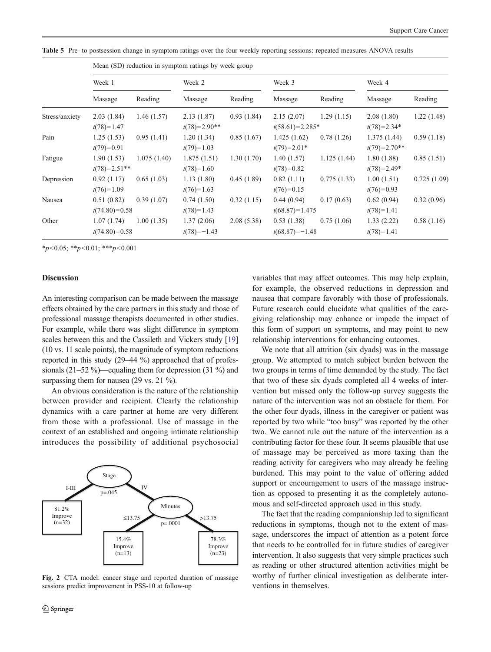Table 5 Pre- to postsession change in symptom ratings over the four weekly reporting sessions: repeated measures ANOVA results

|                |                 | Mean (SD) reduction in symptom ratings by week group |                 |            |                    |                   |                |             |  |  |  |  |
|----------------|-----------------|------------------------------------------------------|-----------------|------------|--------------------|-------------------|----------------|-------------|--|--|--|--|
|                | Week 1          |                                                      | Week 2          |            |                    | Week 3            |                | Week 4      |  |  |  |  |
|                | Massage         | Reading                                              | Massage         | Reading    | Massage            | Reading           | Massage        | Reading     |  |  |  |  |
| Stress/anxiety | 2.03(1.84)      | 1.46(1.57)                                           | 2.13(1.87)      | 0.93(1.84) | 2.15(2.07)         | 1.29(1.15)        | 2.08(1.80)     | 1.22(1.48)  |  |  |  |  |
|                | $t(78)=1.47$    |                                                      | $t(78)=2.90**$  |            |                    | $t(58.61)=2.285*$ | $t(78)=2.34*$  |             |  |  |  |  |
| Pain           | 1.25(1.53)      | 0.95(1.41)                                           | 1.20(1.34)      | 0.85(1.67) | 1.425(1.62)        | 0.78(1.26)        | 1.375(1.44)    | 0.59(1.18)  |  |  |  |  |
|                | $t(79)=0.91$    |                                                      | $t(79)=1.03$    |            | $t(79)=2.01*$      |                   | $t(79)=2.70**$ |             |  |  |  |  |
| Fatigue        | 1.90(1.53)      | 1.075(1.40)                                          | 1.875(1.51)     | 1.30(1.70) | 1.40(1.57)         | 1.125(1.44)       | 1.80(1.88)     | 0.85(1.51)  |  |  |  |  |
|                | $t(78)=2.51**$  |                                                      | $t(78)=1.60$    |            | $t(78)=0.82$       |                   | $t(78)=2.49*$  |             |  |  |  |  |
| Depression     | 0.92(1.17)      | 0.65(1.03)                                           | 1.13(1.80)      | 0.45(1.89) | 0.82(1.11)         | 0.775(1.33)       | 1.00(1.51)     | 0.725(1.09) |  |  |  |  |
|                | $t(76)=1.09$    |                                                      | $t(76)=1.63$    |            | $t(76)=0.15$       |                   | $t(76)=0.93$   |             |  |  |  |  |
| Nausea         | 0.51(0.82)      | 0.39(1.07)                                           | 0.74(1.50)      | 0.32(1.15) | 0.44(0.94)         | 0.17(0.63)        | 0.62(0.94)     | 0.32(0.96)  |  |  |  |  |
|                | $t(74.80)=0.58$ |                                                      | $t(78)=1.43$    |            | $t(68.87)=1.475$   |                   | $t(78)=1.41$   |             |  |  |  |  |
| Other          | 1.07(1.74)      | 1.00(1.35)                                           | 1.37(2.06)      | 2.08(5.38) | 0.53(1.38)         | 0.75(1.06)        | 1.33(2.22)     | 0.58(1.16)  |  |  |  |  |
|                | $t(74.80)=0.58$ |                                                      | $t(78) = -1.43$ |            | $t(68.87) = -1.48$ |                   | $t(78)=1.41$   |             |  |  |  |  |

 $*_{p<0.05}$ ;  $*_{p<0.01}$ ;  $*_{p<0.001}$ 

### **Discussion**

An interesting comparison can be made between the massage effects obtained by the care partners in this study and those of professional massage therapists documented in other studies. For example, while there was slight difference in symptom scales between this and the Cassileth and Vickers study [19] (10 vs. 11 scale points), the magnitude of symptom reductions reported in this study (29–44 %) approached that of professionals  $(21–52\%)$ —equaling them for depression  $(31\%)$  and surpassing them for nausea (29 vs. 21 %).

An obvious consideration is the nature of the relationship between provider and recipient. Clearly the relationship dynamics with a care partner at home are very different from those with a professional. Use of massage in the context of an established and ongoing intimate relationship introduces the possibility of additional psychosocial



Fig. 2 CTA model: cancer stage and reported duration of massage sessions predict improvement in PSS-10 at follow-up

variables that may affect outcomes. This may help explain, for example, the observed reductions in depression and nausea that compare favorably with those of professionals. Future research could elucidate what qualities of the caregiving relationship may enhance or impede the impact of this form of support on symptoms, and may point to new relationship interventions for enhancing outcomes.

We note that all attrition (six dyads) was in the massage group. We attempted to match subject burden between the two groups in terms of time demanded by the study. The fact that two of these six dyads completed all 4 weeks of intervention but missed only the follow-up survey suggests the nature of the intervention was not an obstacle for them. For the other four dyads, illness in the caregiver or patient was reported by two while "too busy" was reported by the other two. We cannot rule out the nature of the intervention as a contributing factor for these four. It seems plausible that use of massage may be perceived as more taxing than the reading activity for caregivers who may already be feeling burdened. This may point to the value of offering added support or encouragement to users of the massage instruction as opposed to presenting it as the completely autonomous and self-directed approach used in this study.

The fact that the reading companionship led to significant reductions in symptoms, though not to the extent of massage, underscores the impact of attention as a potent force that needs to be controlled for in future studies of caregiver intervention. It also suggests that very simple practices such as reading or other structured attention activities might be worthy of further clinical investigation as deliberate interventions in themselves.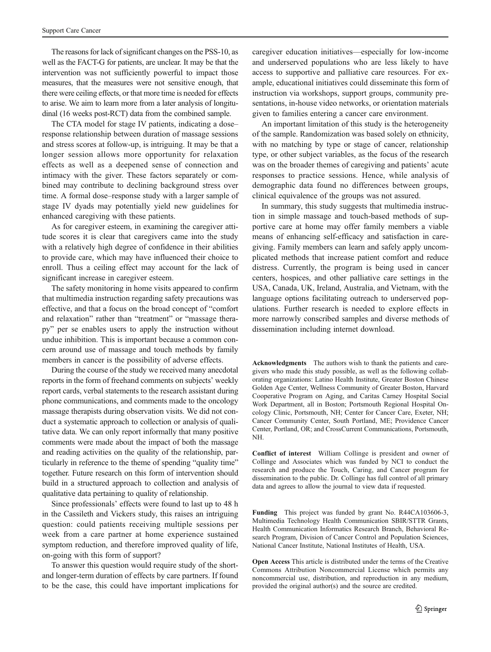The reasons for lack of significant changes on the PSS-10, as well as the FACT-G for patients, are unclear. It may be that the intervention was not sufficiently powerful to impact those measures, that the measures were not sensitive enough, that there were ceiling effects, or that more time is needed for effects to arise. We aim to learn more from a later analysis of longitudinal (16 weeks post-RCT) data from the combined sample.

The CTA model for stage IV patients, indicating a dose– response relationship between duration of massage sessions and stress scores at follow-up, is intriguing. It may be that a longer session allows more opportunity for relaxation effects as well as a deepened sense of connection and intimacy with the giver. These factors separately or combined may contribute to declining background stress over time. A formal dose–response study with a larger sample of stage IV dyads may potentially yield new guidelines for enhanced caregiving with these patients.

As for caregiver esteem, in examining the caregiver attitude scores it is clear that caregivers came into the study with a relatively high degree of confidence in their abilities to provide care, which may have influenced their choice to enroll. Thus a ceiling effect may account for the lack of significant increase in caregiver esteem.

The safety monitoring in home visits appeared to confirm that multimedia instruction regarding safety precautions was effective, and that a focus on the broad concept of "comfort and relaxation" rather than "treatment" or "massage therapy" per se enables users to apply the instruction without undue inhibition. This is important because a common concern around use of massage and touch methods by family members in cancer is the possibility of adverse effects.

During the course of the study we received many anecdotal reports in the form of freehand comments on subjects' weekly report cards, verbal statements to the research assistant during phone communications, and comments made to the oncology massage therapists during observation visits. We did not conduct a systematic approach to collection or analysis of qualitative data. We can only report informally that many positive comments were made about the impact of both the massage and reading activities on the quality of the relationship, particularly in reference to the theme of spending "quality time" together. Future research on this form of intervention should build in a structured approach to collection and analysis of qualitative data pertaining to quality of relationship.

Since professionals' effects were found to last up to 48 h in the Cassileth and Vickers study, this raises an intriguing question: could patients receiving multiple sessions per week from a care partner at home experience sustained symptom reduction, and therefore improved quality of life, on-going with this form of support?

To answer this question would require study of the shortand longer-term duration of effects by care partners. If found to be the case, this could have important implications for caregiver education initiatives—especially for low-income and underserved populations who are less likely to have access to supportive and palliative care resources. For example, educational initiatives could disseminate this form of instruction via workshops, support groups, community presentations, in-house video networks, or orientation materials given to families entering a cancer care environment.

An important limitation of this study is the heterogeneity of the sample. Randomization was based solely on ethnicity, with no matching by type or stage of cancer, relationship type, or other subject variables, as the focus of the research was on the broader themes of caregiving and patients' acute responses to practice sessions. Hence, while analysis of demographic data found no differences between groups, clinical equivalence of the groups was not assured.

In summary, this study suggests that multimedia instruction in simple massage and touch-based methods of supportive care at home may offer family members a viable means of enhancing self-efficacy and satisfaction in caregiving. Family members can learn and safely apply uncomplicated methods that increase patient comfort and reduce distress. Currently, the program is being used in cancer centers, hospices, and other palliative care settings in the USA, Canada, UK, Ireland, Australia, and Vietnam, with the language options facilitating outreach to underserved populations. Further research is needed to explore effects in more narrowly conscribed samples and diverse methods of dissemination including internet download.

Acknowledgments The authors wish to thank the patients and caregivers who made this study possible, as well as the following collaborating organizations: Latino Health Institute, Greater Boston Chinese Golden Age Center, Wellness Community of Greater Boston, Harvard Cooperative Program on Aging, and Caritas Carney Hospital Social Work Department, all in Boston; Portsmouth Regional Hospital Oncology Clinic, Portsmouth, NH; Center for Cancer Care, Exeter, NH; Cancer Community Center, South Portland, ME; Providence Cancer Center, Portland, OR; and CrossCurrent Communications, Portsmouth, NH.

Conflict of interest William Collinge is president and owner of Collinge and Associates which was funded by NCI to conduct the research and produce the Touch, Caring, and Cancer program for dissemination to the public. Dr. Collinge has full control of all primary data and agrees to allow the journal to view data if requested.

Funding This project was funded by grant No. R44CA103606-3, Multimedia Technology Health Communication SBIR/STTR Grants, Health Communication Informatics Research Branch, Behavioral Research Program, Division of Cancer Control and Population Sciences, National Cancer Institute, National Institutes of Health, USA.

Open Access This article is distributed under the terms of the Creative Commons Attribution Noncommercial License which permits any noncommercial use, distribution, and reproduction in any medium, provided the original author(s) and the source are credited.